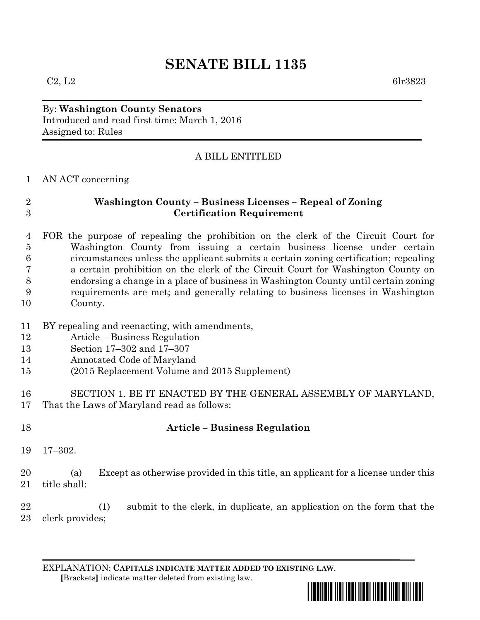# **SENATE BILL 1135**

### By: **Washington County Senators** Introduced and read first time: March 1, 2016 Assigned to: Rules

## A BILL ENTITLED

#### AN ACT concerning

## **Washington County – Business Licenses – Repeal of Zoning Certification Requirement**

 FOR the purpose of repealing the prohibition on the clerk of the Circuit Court for Washington County from issuing a certain business license under certain circumstances unless the applicant submits a certain zoning certification; repealing a certain prohibition on the clerk of the Circuit Court for Washington County on endorsing a change in a place of business in Washington County until certain zoning requirements are met; and generally relating to business licenses in Washington County.

- BY repealing and reenacting, with amendments,
- Article Business Regulation
- Section 17–302 and 17–307
- Annotated Code of Maryland
- (2015 Replacement Volume and 2015 Supplement)

 SECTION 1. BE IT ENACTED BY THE GENERAL ASSEMBLY OF MARYLAND, That the Laws of Maryland read as follows:

# **Article – Business Regulation**

17–302.

 (a) Except as otherwise provided in this title, an applicant for a license under this title shall:

 (1) submit to the clerk, in duplicate, an application on the form that the clerk provides;

EXPLANATION: **CAPITALS INDICATE MATTER ADDED TO EXISTING LAW**.  **[**Brackets**]** indicate matter deleted from existing law.

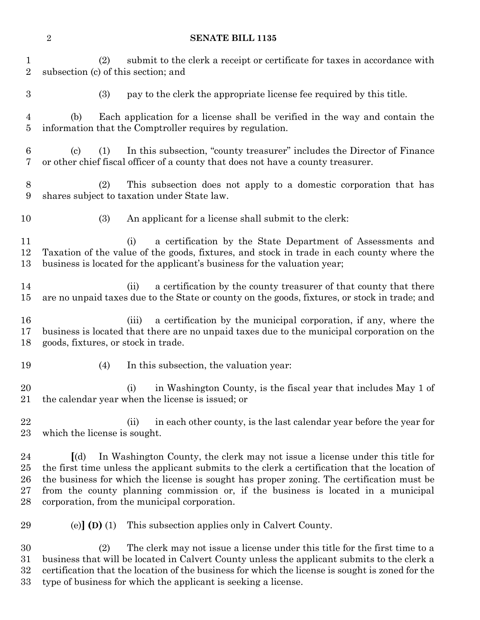#### **SENATE BILL 1135**

 (2) submit to the clerk a receipt or certificate for taxes in accordance with subsection (c) of this section; and

- (3) pay to the clerk the appropriate license fee required by this title. (b) Each application for a license shall be verified in the way and contain the information that the Comptroller requires by regulation. (c) (1) In this subsection, "county treasurer" includes the Director of Finance or other chief fiscal officer of a county that does not have a county treasurer. (2) This subsection does not apply to a domestic corporation that has shares subject to taxation under State law. (3) An applicant for a license shall submit to the clerk: (i) a certification by the State Department of Assessments and Taxation of the value of the goods, fixtures, and stock in trade in each county where the business is located for the applicant's business for the valuation year; 14 (ii) a certification by the county treasurer of that county that there are no unpaid taxes due to the State or county on the goods, fixtures, or stock in trade; and (iii) a certification by the municipal corporation, if any, where the business is located that there are no unpaid taxes due to the municipal corporation on the goods, fixtures, or stock in trade. (4) In this subsection, the valuation year: (i) in Washington County, is the fiscal year that includes May 1 of the calendar year when the license is issued; or 22 (ii) in each other county, is the last calendar year before the year for which the license is sought. **[**(d) In Washington County, the clerk may not issue a license under this title for the first time unless the applicant submits to the clerk a certification that the location of the business for which the license is sought has proper zoning. The certification must be from the county planning commission or, if the business is located in a municipal corporation, from the municipal corporation.
- (e)**] (D)** (1) This subsection applies only in Calvert County.

 (2) The clerk may not issue a license under this title for the first time to a business that will be located in Calvert County unless the applicant submits to the clerk a certification that the location of the business for which the license is sought is zoned for the type of business for which the applicant is seeking a license.